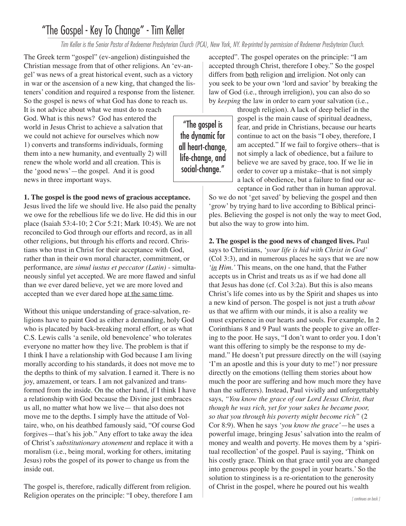# "The Gospel - Key To Change" - Tim Keller

### Tim Keller is the Senior Pastor of Redeemer Presbyterian Church (PCA), New York, NY. Re-printed by permission of Redeemer Presbyterian Church.

The Greek term "gospel" (ev-angelion) distinguished the Christian message from that of other religions. An 'ev-angel' was news of a great historical event, such as a victory in war or the ascension of a new king, that changed the listeners' condition and required a response from the listener. So the gospel is news of what God has done to reach us.

It is not advice about what we must do to reach God. What is this news? God has entered the world in Jesus Christ to achieve a salvation that we could not achieve for ourselves which now 1) converts and transforms individuals, forming them into a new humanity, and eventually 2) will renew the whole world and all creation. This is the 'good news'—the gospel. And it is good news in three important ways.

**1. The gospel is the good news of gracious acceptance.**

Jesus lived the life we should live. He also paid the penalty we owe for the rebellious life we do live. He did this in our place (Isaiah 53:4-10; 2 Cor 5:21; Mark 10:45). We are not reconciled to God through our efforts and record, as in all other religions, but through his efforts and record. Christians who trust in Christ for their acceptance with God, rather than in their own moral character, commitment, or performance, are *simul iustus et peccator (Latin)* - simultaneously sinful yet accepted. We are more flawed and sinful than we ever dared believe, yet we are more loved and accepted than we ever dared hope at the same time.

Without this unique understanding of grace-salvation, religions have to paint God as either a demanding, holy God who is placated by back-breaking moral effort, or as what C.S. Lewis calls 'a senile, old benevolence' who tolerates everyone no matter how they live. The problem is that if I think I have a relationship with God because I am living morally according to his standards, it does not move me to the depths to think of my salvation. I earned it. There is no joy, amazement, or tears. I am not galvanized and transformed from the inside. On the other hand, if I think I have a relationship with God because the Divine just embraces us all, no matter what how we live— that also does not move me to the depths. I simply have the attitude of Voltaire, who, on his deathbed famously said, "Of course God forgives—that's his job." Any effort to take away the idea of Christ's *substitutionary atonement* and replace it with a moralism (i.e., being moral, working for others, imitating Jesus) robs the gospel of its power to change us from the inside out.

The gospel is, therefore, radically different from religion. Religion operates on the principle: "I obey, therefore I am accepted". The gospel operates on the principle: "I am accepted through Christ, therefore I obey." So the gospel differs from **both** religion and irreligion. Not only can you seek to be your own 'lord and savior' by breaking the law of God (i.e., through irreligion), you can also do so by *keeping* the law in order to earn your salvation (i.e.,

"The gospel is the dynamic for all heart-change, life-change, and social-change."

through religion). A lack of deep belief in the gospel is the main cause of spiritual deadness, fear, and pride in Christians, because our hearts continue to act on the basis "I obey, therefore, I am accepted." If we fail to forgive others--that is not simply a lack of obedience, but a failure to believe we are saved by grace, too. If we lie in order to cover up a mistake--that is not simply a lack of obedience, but a failure to find our ac-

ceptance in God rather than in human approval. So we do not 'get saved' by believing the gospel and then 'grow' by trying hard to live according to Biblical principles. Believing the gospel is not only the way to meet God, but also the way to grow into him.

**2. The gospel is the good news of changed lives.** Paul says to Christians, *'your life is hid with Christ in God'* (Col 3:3), and in numerous places he says that we are now *'in Him.'* This means, on the one hand, that the Father accepts us in Christ and treats us as if we had done all that Jesus has done (cf. Col 3:2a). But this is also means Christ's life comes into us by the Spirit and shapes us into a new kind of person. The gospel is not just a truth *about* us that we affirm with our minds, it is also a reality we must experience in our hearts and souls. For example, In 2 Corinthians 8 and 9 Paul wants the people to give an offering to the poor. He says, "I don't want to order you. I don't want this offering to simply be the response to my demand." He doesn't put pressure directly on the will (saying 'I'm an apostle and this is your duty to me!') nor pressure directly on the emotions (telling them stories about how much the poor are suffering and how much more they have than the sufferers). Instead, Paul vividly and unforgettably says, *"You know the grace of our Lord Jesus Christ, that though he was rich, yet for your sakes he became poor, so that you through his poverty might become rich"* (2 Cor 8:9). When he says *'you know the grace'*—he uses a powerful image, bringing Jesus' salvation into the realm of money and wealth and poverty. He moves them by a 'spiritual recollection' of the gospel. Paul is saying, 'Think on his costly grace. Think on that grace until you are changed into generous people by the gospel in your hearts.' So the solution to stinginess is a re-orientation to the generosity of Christ in the gospel, where he poured out his wealth